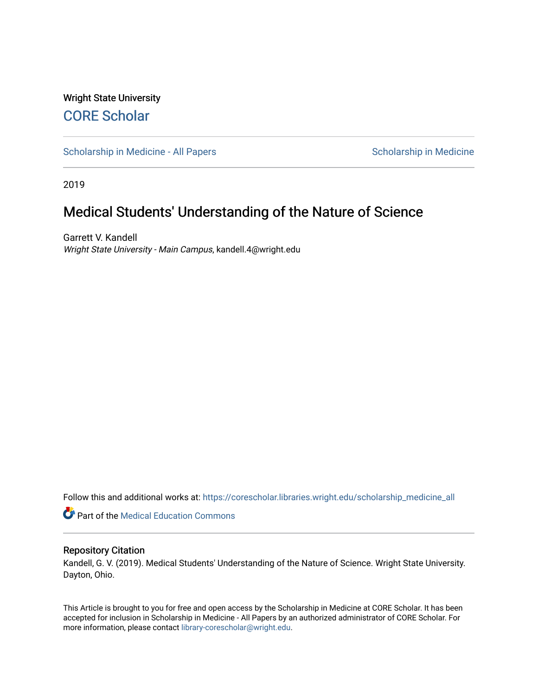# Wright State University [CORE Scholar](https://corescholar.libraries.wright.edu/)

[Scholarship in Medicine - All Papers](https://corescholar.libraries.wright.edu/scholarship_medicine_all) Scholarship in Medicine

2019

# Medical Students' Understanding of the Nature of Science

Garrett V. Kandell Wright State University - Main Campus, kandell.4@wright.edu

Follow this and additional works at: [https://corescholar.libraries.wright.edu/scholarship\\_medicine\\_all](https://corescholar.libraries.wright.edu/scholarship_medicine_all?utm_source=corescholar.libraries.wright.edu%2Fscholarship_medicine_all%2F9&utm_medium=PDF&utm_campaign=PDFCoverPages) 

**Part of the Medical Education Commons** 

### Repository Citation

Kandell, G. V. (2019). Medical Students' Understanding of the Nature of Science. Wright State University. Dayton, Ohio.

This Article is brought to you for free and open access by the Scholarship in Medicine at CORE Scholar. It has been accepted for inclusion in Scholarship in Medicine - All Papers by an authorized administrator of CORE Scholar. For more information, please contact [library-corescholar@wright.edu.](mailto:library-corescholar@wright.edu)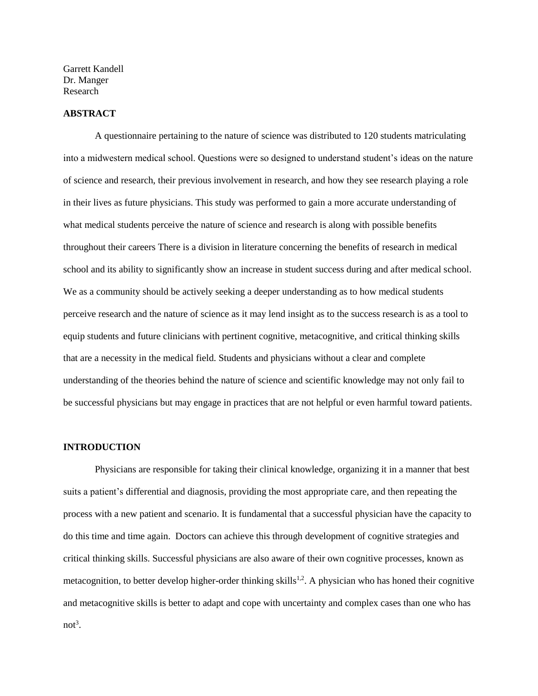Garrett Kandell Dr. Manger Research

#### **ABSTRACT**

A questionnaire pertaining to the nature of science was distributed to 120 students matriculating into a midwestern medical school. Questions were so designed to understand student's ideas on the nature of science and research, their previous involvement in research, and how they see research playing a role in their lives as future physicians. This study was performed to gain a more accurate understanding of what medical students perceive the nature of science and research is along with possible benefits throughout their careers There is a division in literature concerning the benefits of research in medical school and its ability to significantly show an increase in student success during and after medical school. We as a community should be actively seeking a deeper understanding as to how medical students perceive research and the nature of science as it may lend insight as to the success research is as a tool to equip students and future clinicians with pertinent cognitive, metacognitive, and critical thinking skills that are a necessity in the medical field. Students and physicians without a clear and complete understanding of the theories behind the nature of science and scientific knowledge may not only fail to be successful physicians but may engage in practices that are not helpful or even harmful toward patients.

#### **INTRODUCTION**

Physicians are responsible for taking their clinical knowledge, organizing it in a manner that best suits a patient's differential and diagnosis, providing the most appropriate care, and then repeating the process with a new patient and scenario. It is fundamental that a successful physician have the capacity to do this time and time again. Doctors can achieve this through development of cognitive strategies and critical thinking skills. Successful physicians are also aware of their own cognitive processes, known as metacognition, to better develop higher-order thinking skills<sup>1,2</sup>. A physician who has honed their cognitive and metacognitive skills is better to adapt and cope with uncertainty and complex cases than one who has  $not<sup>3</sup>$ .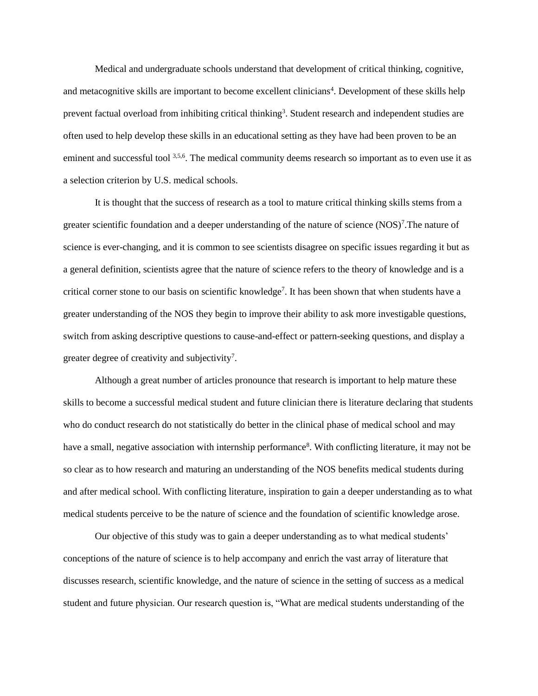Medical and undergraduate schools understand that development of critical thinking, cognitive, and metacognitive skills are important to become excellent clinicians<sup>4</sup>. Development of these skills help prevent factual overload from inhibiting critical thinking<sup>3</sup>. Student research and independent studies are often used to help develop these skills in an educational setting as they have had been proven to be an eminent and successful tool 3,5,6. The medical community deems research so important as to even use it as a selection criterion by U.S. medical schools.

It is thought that the success of research as a tool to mature critical thinking skills stems from a greater scientific foundation and a deeper understanding of the nature of science  $(NOS)^7$ . The nature of science is ever-changing, and it is common to see scientists disagree on specific issues regarding it but as a general definition, scientists agree that the nature of science refers to the theory of knowledge and is a critical corner stone to our basis on scientific knowledge<sup>7</sup>. It has been shown that when students have a greater understanding of the NOS they begin to improve their ability to ask more investigable questions, switch from asking descriptive questions to cause-and-effect or pattern-seeking questions, and display a greater degree of creativity and subjectivity<sup>7</sup>.

Although a great number of articles pronounce that research is important to help mature these skills to become a successful medical student and future clinician there is literature declaring that students who do conduct research do not statistically do better in the clinical phase of medical school and may have a small, negative association with internship performance<sup>8</sup>. With conflicting literature, it may not be so clear as to how research and maturing an understanding of the NOS benefits medical students during and after medical school. With conflicting literature, inspiration to gain a deeper understanding as to what medical students perceive to be the nature of science and the foundation of scientific knowledge arose.

Our objective of this study was to gain a deeper understanding as to what medical students' conceptions of the nature of science is to help accompany and enrich the vast array of literature that discusses research, scientific knowledge, and the nature of science in the setting of success as a medical student and future physician. Our research question is, "What are medical students understanding of the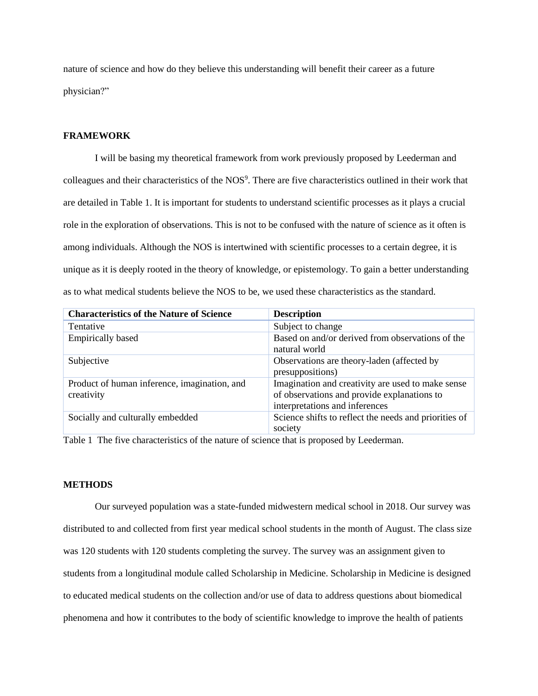nature of science and how do they believe this understanding will benefit their career as a future physician?"

### **FRAMEWORK**

I will be basing my theoretical framework from work previously proposed by Leederman and colleagues and their characteristics of the NOS<sup>9</sup>. There are five characteristics outlined in their work that are detailed in Table 1. It is important for students to understand scientific processes as it plays a crucial role in the exploration of observations. This is not to be confused with the nature of science as it often is among individuals. Although the NOS is intertwined with scientific processes to a certain degree, it is unique as it is deeply rooted in the theory of knowledge, or epistemology. To gain a better understanding as to what medical students believe the NOS to be, we used these characteristics as the standard.

| <b>Characteristics of the Nature of Science</b>            | <b>Description</b>                                                                                                                 |
|------------------------------------------------------------|------------------------------------------------------------------------------------------------------------------------------------|
| Tentative                                                  | Subject to change                                                                                                                  |
| <b>Empirically based</b>                                   | Based on and/or derived from observations of the<br>natural world                                                                  |
| Subjective                                                 | Observations are theory-laden (affected by<br>presuppositions)                                                                     |
| Product of human inference, imagination, and<br>creativity | Imagination and creativity are used to make sense<br>of observations and provide explanations to<br>interpretations and inferences |
| Socially and culturally embedded                           | Science shifts to reflect the needs and priorities of<br>society                                                                   |

Table 1 The five characteristics of the nature of science that is proposed by Leederman.

### **METHODS**

Our surveyed population was a state-funded midwestern medical school in 2018. Our survey was distributed to and collected from first year medical school students in the month of August. The class size was 120 students with 120 students completing the survey. The survey was an assignment given to students from a longitudinal module called Scholarship in Medicine. Scholarship in Medicine is designed to educated medical students on the collection and/or use of data to address questions about biomedical phenomena and how it contributes to the body of scientific knowledge to improve the health of patients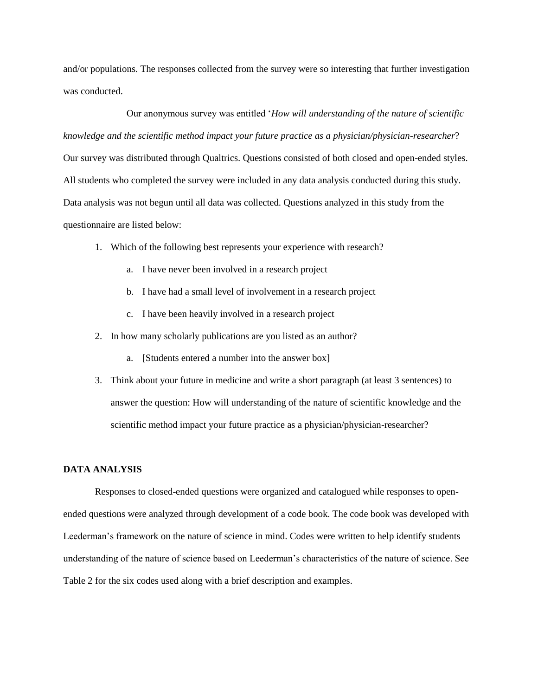and/or populations. The responses collected from the survey were so interesting that further investigation was conducted.

Our anonymous survey was entitled '*How will understanding of the nature of scientific knowledge and the scientific method impact your future practice as a physician/physician-researcher*? Our survey was distributed through Qualtrics. Questions consisted of both closed and open-ended styles. All students who completed the survey were included in any data analysis conducted during this study. Data analysis was not begun until all data was collected. Questions analyzed in this study from the questionnaire are listed below:

- 1. Which of the following best represents your experience with research?
	- a. I have never been involved in a research project
	- b. I have had a small level of involvement in a research project
	- c. I have been heavily involved in a research project
- 2. In how many scholarly publications are you listed as an author?
	- a. [Students entered a number into the answer box]
- 3. Think about your future in medicine and write a short paragraph (at least 3 sentences) to answer the question: How will understanding of the nature of scientific knowledge and the scientific method impact your future practice as a physician/physician-researcher?

#### **DATA ANALYSIS**

Responses to closed-ended questions were organized and catalogued while responses to openended questions were analyzed through development of a code book. The code book was developed with Leederman's framework on the nature of science in mind. Codes were written to help identify students understanding of the nature of science based on Leederman's characteristics of the nature of science. See Table 2 for the six codes used along with a brief description and examples.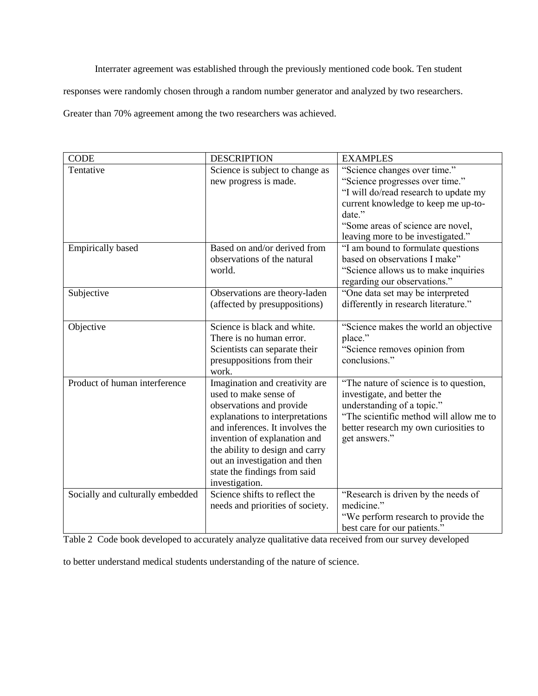Interrater agreement was established through the previously mentioned code book. Ten student

responses were randomly chosen through a random number generator and analyzed by two researchers.

Greater than 70% agreement among the two researchers was achieved.

| <b>CODE</b>                      | <b>DESCRIPTION</b>                                          | <b>EXAMPLES</b>                                                       |
|----------------------------------|-------------------------------------------------------------|-----------------------------------------------------------------------|
| Tentative                        | Science is subject to change as                             | "Science changes over time."                                          |
|                                  | new progress is made.                                       | "Science progresses over time."                                       |
|                                  |                                                             | "I will do/read research to update my                                 |
|                                  |                                                             | current knowledge to keep me up-to-                                   |
|                                  |                                                             | date."                                                                |
|                                  |                                                             | "Some areas of science are novel,                                     |
|                                  |                                                             | leaving more to be investigated."                                     |
| <b>Empirically based</b>         | Based on and/or derived from                                | "I am bound to formulate questions                                    |
|                                  | observations of the natural                                 | based on observations I make"                                         |
|                                  | world.                                                      | "Science allows us to make inquiries                                  |
|                                  |                                                             | regarding our observations."                                          |
| Subjective                       | Observations are theory-laden                               | "One data set may be interpreted                                      |
|                                  | (affected by presuppositions)                               | differently in research literature."                                  |
|                                  |                                                             |                                                                       |
| Objective                        | Science is black and white.                                 | "Science makes the world an objective                                 |
|                                  | There is no human error.                                    | place."                                                               |
|                                  | Scientists can separate their                               | "Science removes opinion from                                         |
|                                  | presuppositions from their                                  | conclusions."                                                         |
|                                  | work.                                                       |                                                                       |
| Product of human interference    | Imagination and creativity are                              | "The nature of science is to question,                                |
|                                  | used to make sense of                                       | investigate, and better the                                           |
|                                  | observations and provide<br>explanations to interpretations | understanding of a topic."<br>"The scientific method will allow me to |
|                                  | and inferences. It involves the                             | better research my own curiosities to                                 |
|                                  | invention of explanation and                                | get answers."                                                         |
|                                  | the ability to design and carry                             |                                                                       |
|                                  | out an investigation and then                               |                                                                       |
|                                  | state the findings from said                                |                                                                       |
|                                  | investigation.                                              |                                                                       |
| Socially and culturally embedded | Science shifts to reflect the                               | "Research is driven by the needs of                                   |
|                                  | needs and priorities of society.                            | medicine."                                                            |
|                                  |                                                             | "We perform research to provide the                                   |
|                                  |                                                             | best care for our patients."                                          |

Table 2 Code book developed to accurately analyze qualitative data received from our survey developed

to better understand medical students understanding of the nature of science.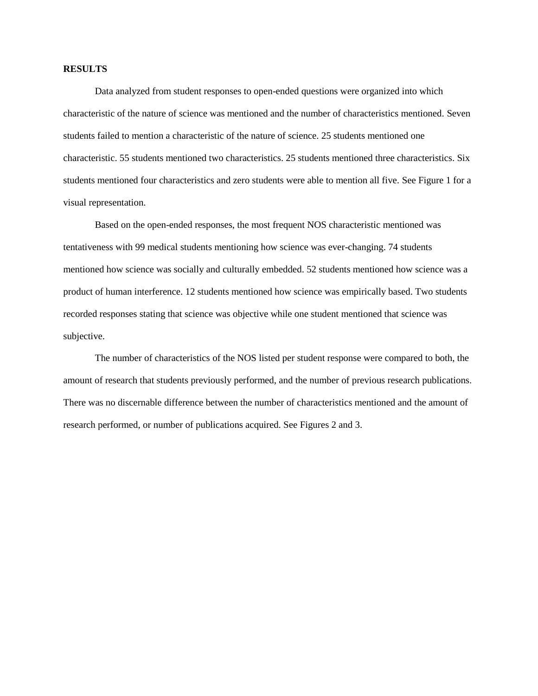#### **RESULTS**

Data analyzed from student responses to open-ended questions were organized into which characteristic of the nature of science was mentioned and the number of characteristics mentioned. Seven students failed to mention a characteristic of the nature of science. 25 students mentioned one characteristic. 55 students mentioned two characteristics. 25 students mentioned three characteristics. Six students mentioned four characteristics and zero students were able to mention all five. See Figure 1 for a visual representation.

Based on the open-ended responses, the most frequent NOS characteristic mentioned was tentativeness with 99 medical students mentioning how science was ever-changing. 74 students mentioned how science was socially and culturally embedded. 52 students mentioned how science was a product of human interference. 12 students mentioned how science was empirically based. Two students recorded responses stating that science was objective while one student mentioned that science was subjective.

The number of characteristics of the NOS listed per student response were compared to both, the amount of research that students previously performed, and the number of previous research publications. There was no discernable difference between the number of characteristics mentioned and the amount of research performed, or number of publications acquired. See Figures 2 and 3.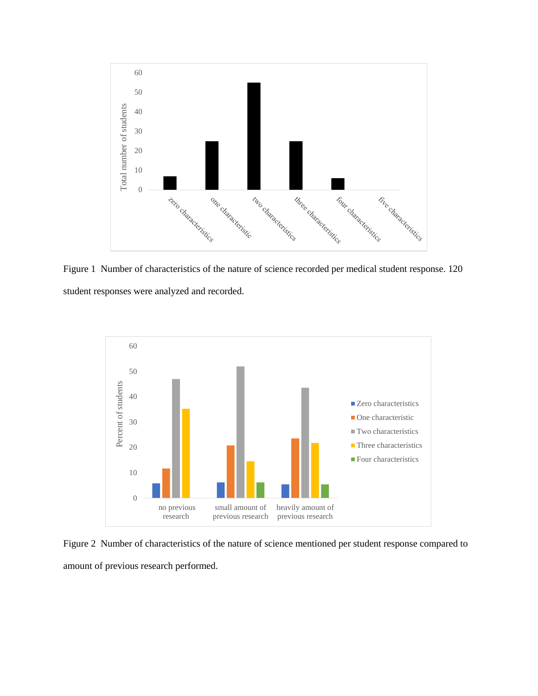

Figure 1 Number of characteristics of the nature of science recorded per medical student response. 120 student responses were analyzed and recorded.



Figure 2 Number of characteristics of the nature of science mentioned per student response compared to amount of previous research performed.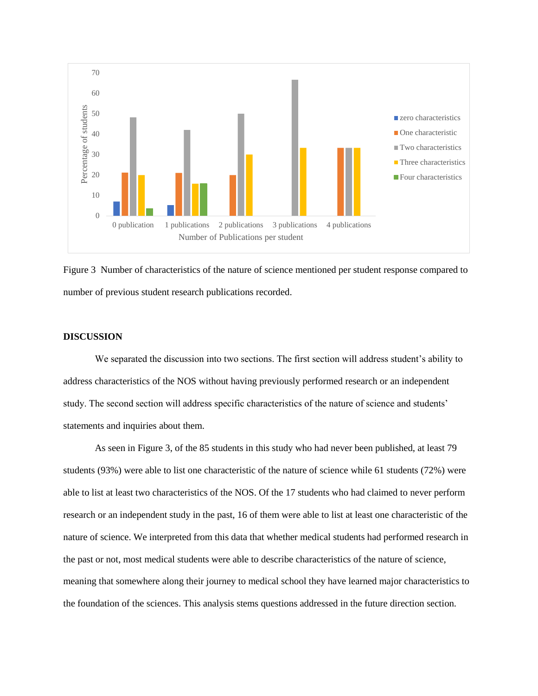

Figure 3 Number of characteristics of the nature of science mentioned per student response compared to number of previous student research publications recorded.

#### **DISCUSSION**

We separated the discussion into two sections. The first section will address student's ability to address characteristics of the NOS without having previously performed research or an independent study. The second section will address specific characteristics of the nature of science and students' statements and inquiries about them.

As seen in Figure 3, of the 85 students in this study who had never been published, at least 79 students (93%) were able to list one characteristic of the nature of science while 61 students (72%) were able to list at least two characteristics of the NOS. Of the 17 students who had claimed to never perform research or an independent study in the past, 16 of them were able to list at least one characteristic of the nature of science. We interpreted from this data that whether medical students had performed research in the past or not, most medical students were able to describe characteristics of the nature of science, meaning that somewhere along their journey to medical school they have learned major characteristics to the foundation of the sciences. This analysis stems questions addressed in the future direction section.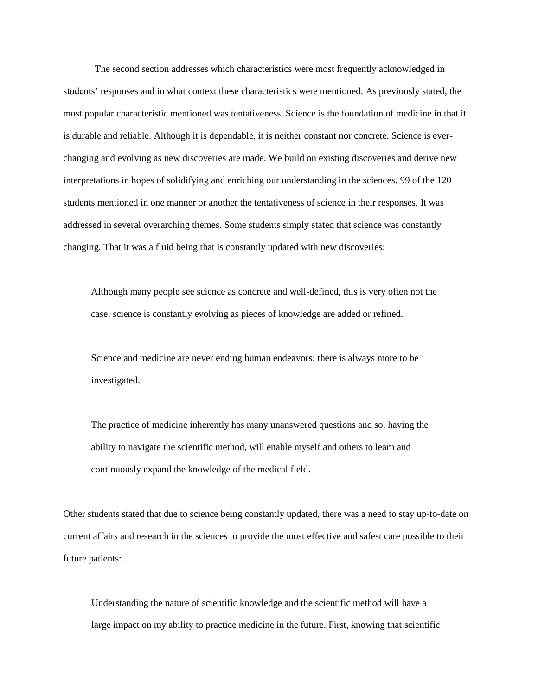The second section addresses which characteristics were most frequently acknowledged in students' responses and in what context these characteristics were mentioned. As previously stated, the most popular characteristic mentioned was tentativeness. Science is the foundation of medicine in that it is durable and reliable. Although it is dependable, it is neither constant nor concrete. Science is everchanging and evolving as new discoveries are made. We build on existing discoveries and derive new interpretations in hopes of solidifying and enriching our understanding in the sciences. 99 of the 120 students mentioned in one manner or another the tentativeness of science in their responses. It was addressed in several overarching themes. Some students simply stated that science was constantly changing. That it was a fluid being that is constantly updated with new discoveries:

Although many people see science as concrete and well-defined, this is very often not the case; science is constantly evolving as pieces of knowledge are added or refined.

Science and medicine are never ending human endeavors: there is always more to be investigated.

The practice of medicine inherently has many unanswered questions and so, having the ability to navigate the scientific method, will enable myself and others to learn and continuously expand the knowledge of the medical field.

Other students stated that due to science being constantly updated, there was a need to stay up-to-date on current affairs and research in the sciences to provide the most effective and safest care possible to their future patients:

Understanding the nature of scientific knowledge and the scientific method will have a large impact on my ability to practice medicine in the future. First, knowing that scientific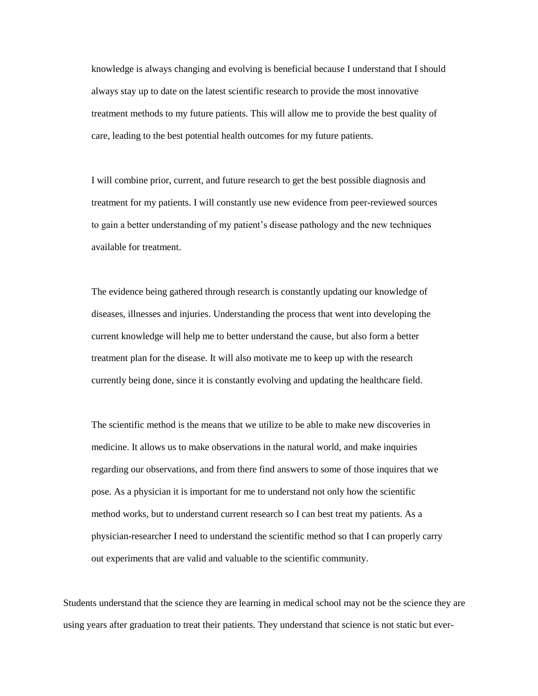knowledge is always changing and evolving is beneficial because I understand that I should always stay up to date on the latest scientific research to provide the most innovative treatment methods to my future patients. This will allow me to provide the best quality of care, leading to the best potential health outcomes for my future patients.

I will combine prior, current, and future research to get the best possible diagnosis and treatment for my patients. I will constantly use new evidence from peer-reviewed sources to gain a better understanding of my patient's disease pathology and the new techniques available for treatment.

The evidence being gathered through research is constantly updating our knowledge of diseases, illnesses and injuries. Understanding the process that went into developing the current knowledge will help me to better understand the cause, but also form a better treatment plan for the disease. It will also motivate me to keep up with the research currently being done, since it is constantly evolving and updating the healthcare field.

The scientific method is the means that we utilize to be able to make new discoveries in medicine. It allows us to make observations in the natural world, and make inquiries regarding our observations, and from there find answers to some of those inquires that we pose. As a physician it is important for me to understand not only how the scientific method works, but to understand current research so I can best treat my patients. As a physician-researcher I need to understand the scientific method so that I can properly carry out experiments that are valid and valuable to the scientific community.

Students understand that the science they are learning in medical school may not be the science they are using years after graduation to treat their patients. They understand that science is not static but ever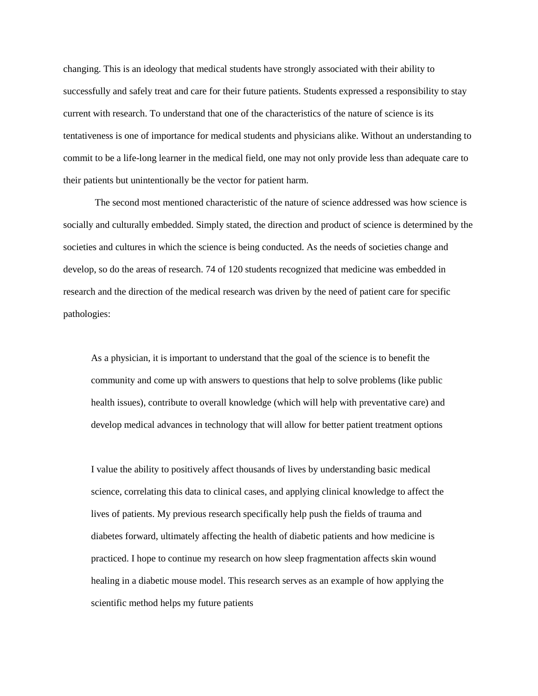changing. This is an ideology that medical students have strongly associated with their ability to successfully and safely treat and care for their future patients. Students expressed a responsibility to stay current with research. To understand that one of the characteristics of the nature of science is its tentativeness is one of importance for medical students and physicians alike. Without an understanding to commit to be a life-long learner in the medical field, one may not only provide less than adequate care to their patients but unintentionally be the vector for patient harm.

The second most mentioned characteristic of the nature of science addressed was how science is socially and culturally embedded. Simply stated, the direction and product of science is determined by the societies and cultures in which the science is being conducted. As the needs of societies change and develop, so do the areas of research. 74 of 120 students recognized that medicine was embedded in research and the direction of the medical research was driven by the need of patient care for specific pathologies:

As a physician, it is important to understand that the goal of the science is to benefit the community and come up with answers to questions that help to solve problems (like public health issues), contribute to overall knowledge (which will help with preventative care) and develop medical advances in technology that will allow for better patient treatment options

I value the ability to positively affect thousands of lives by understanding basic medical science, correlating this data to clinical cases, and applying clinical knowledge to affect the lives of patients. My previous research specifically help push the fields of trauma and diabetes forward, ultimately affecting the health of diabetic patients and how medicine is practiced. I hope to continue my research on how sleep fragmentation affects skin wound healing in a diabetic mouse model. This research serves as an example of how applying the scientific method helps my future patients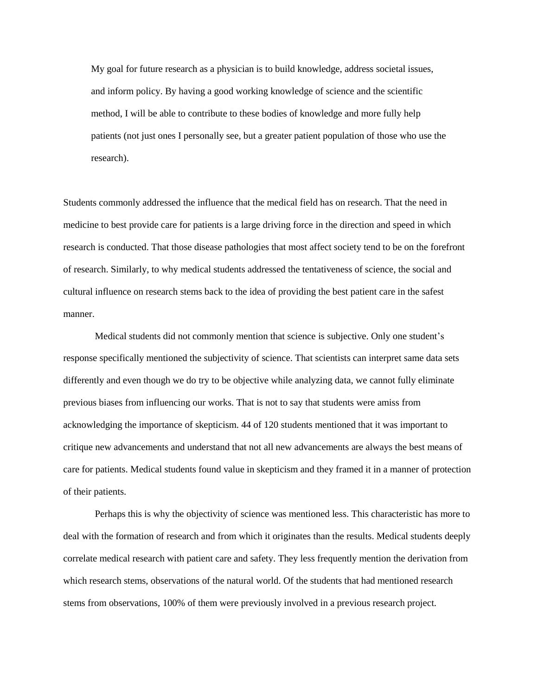My goal for future research as a physician is to build knowledge, address societal issues, and inform policy. By having a good working knowledge of science and the scientific method, I will be able to contribute to these bodies of knowledge and more fully help patients (not just ones I personally see, but a greater patient population of those who use the research).

Students commonly addressed the influence that the medical field has on research. That the need in medicine to best provide care for patients is a large driving force in the direction and speed in which research is conducted. That those disease pathologies that most affect society tend to be on the forefront of research. Similarly, to why medical students addressed the tentativeness of science, the social and cultural influence on research stems back to the idea of providing the best patient care in the safest manner.

Medical students did not commonly mention that science is subjective. Only one student's response specifically mentioned the subjectivity of science. That scientists can interpret same data sets differently and even though we do try to be objective while analyzing data, we cannot fully eliminate previous biases from influencing our works. That is not to say that students were amiss from acknowledging the importance of skepticism. 44 of 120 students mentioned that it was important to critique new advancements and understand that not all new advancements are always the best means of care for patients. Medical students found value in skepticism and they framed it in a manner of protection of their patients.

Perhaps this is why the objectivity of science was mentioned less. This characteristic has more to deal with the formation of research and from which it originates than the results. Medical students deeply correlate medical research with patient care and safety. They less frequently mention the derivation from which research stems, observations of the natural world. Of the students that had mentioned research stems from observations, 100% of them were previously involved in a previous research project.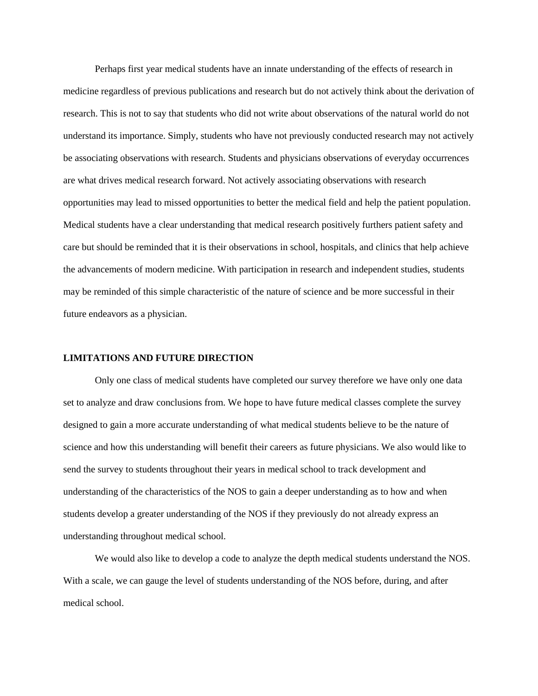Perhaps first year medical students have an innate understanding of the effects of research in medicine regardless of previous publications and research but do not actively think about the derivation of research. This is not to say that students who did not write about observations of the natural world do not understand its importance. Simply, students who have not previously conducted research may not actively be associating observations with research. Students and physicians observations of everyday occurrences are what drives medical research forward. Not actively associating observations with research opportunities may lead to missed opportunities to better the medical field and help the patient population. Medical students have a clear understanding that medical research positively furthers patient safety and care but should be reminded that it is their observations in school, hospitals, and clinics that help achieve the advancements of modern medicine. With participation in research and independent studies, students may be reminded of this simple characteristic of the nature of science and be more successful in their future endeavors as a physician.

#### **LIMITATIONS AND FUTURE DIRECTION**

Only one class of medical students have completed our survey therefore we have only one data set to analyze and draw conclusions from. We hope to have future medical classes complete the survey designed to gain a more accurate understanding of what medical students believe to be the nature of science and how this understanding will benefit their careers as future physicians. We also would like to send the survey to students throughout their years in medical school to track development and understanding of the characteristics of the NOS to gain a deeper understanding as to how and when students develop a greater understanding of the NOS if they previously do not already express an understanding throughout medical school.

We would also like to develop a code to analyze the depth medical students understand the NOS. With a scale, we can gauge the level of students understanding of the NOS before, during, and after medical school.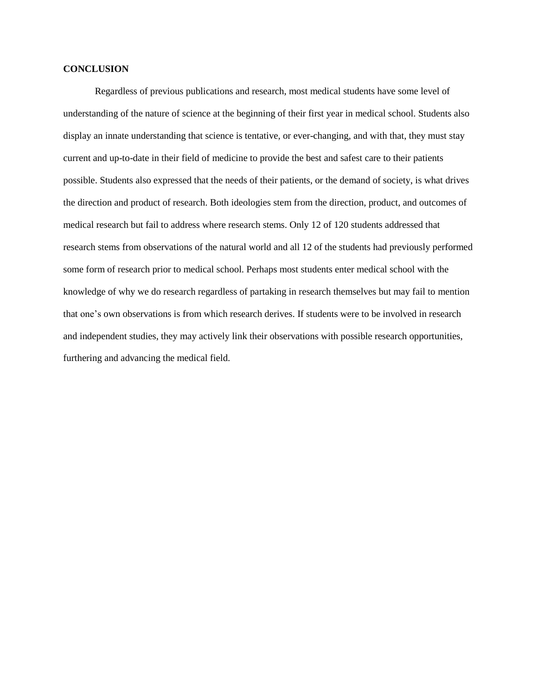#### **CONCLUSION**

Regardless of previous publications and research, most medical students have some level of understanding of the nature of science at the beginning of their first year in medical school. Students also display an innate understanding that science is tentative, or ever-changing, and with that, they must stay current and up-to-date in their field of medicine to provide the best and safest care to their patients possible. Students also expressed that the needs of their patients, or the demand of society, is what drives the direction and product of research. Both ideologies stem from the direction, product, and outcomes of medical research but fail to address where research stems. Only 12 of 120 students addressed that research stems from observations of the natural world and all 12 of the students had previously performed some form of research prior to medical school. Perhaps most students enter medical school with the knowledge of why we do research regardless of partaking in research themselves but may fail to mention that one's own observations is from which research derives. If students were to be involved in research and independent studies, they may actively link their observations with possible research opportunities, furthering and advancing the medical field.